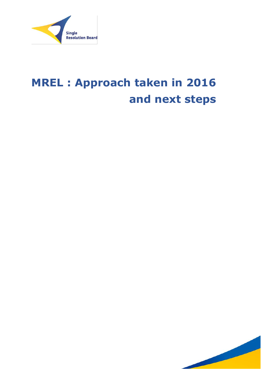

# **MREL : Approach taken in 2016 and next steps**

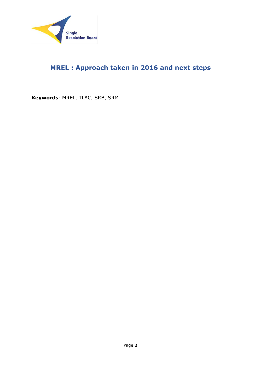

# **MREL : Approach taken in 2016 and next steps**

**Keywords**: MREL, TLAC, SRB, SRM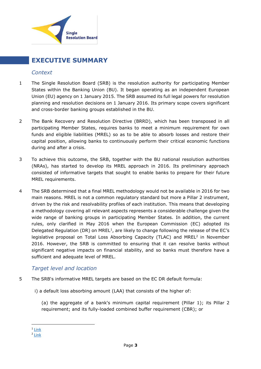

# <span id="page-2-0"></span>**EXECUTIVE SUMMARY**

## *Context*

- 1 The Single Resolution Board (SRB) is the resolution authority for participating Member States within the Banking Union (BU). It began operating as an independent European Union (EU) agency on 1 January 2015. The SRB assumed its full legal powers for resolution planning and resolution decisions on 1 January 2016. Its primary scope covers significant and cross-border banking groups established in the BU.
- 2 The Bank Recovery and Resolution Directive (BRRD), which has been transposed in all participating Member States, requires banks to meet a minimum requirement for own funds and eligible liabilities (MREL) so as to be able to absorb losses and restore their capital position, allowing banks to continuously perform their critical economic functions during and after a crisis.
- 3 To achieve this outcome, the SRB, together with the BU national resolution authorities (NRAs), has started to develop its MREL approach in 2016. Its preliminary approach consisted of informative targets that sought to enable banks to prepare for their future MREL requirements.
- 4 The SRB determined that a final MREL methodology would not be available in 2016 for two main reasons. MREL is not a common regulatory standard but more a Pillar 2 instrument, driven by the risk and resolvability profiles of each institution. This means that developing a methodology covering all relevant aspects represents a considerable challenge given the wide range of banking groups in participating Member States. In addition, the current rules, only clarified in May 2016 when the European Commission (EC) adopted its Delegated Regulation (DR) on MREL<sup>1</sup>, are likely to change following the release of the EC's legislative proposal on Total Loss Absorbing Capacity (TLAC) and MREL<sup>2</sup> in November 2016. However, the SRB is committed to ensuring that it can resolve banks without significant negative impacts on financial stability, and so banks must therefore have a sufficient and adequate level of MREL.

# *Target level and location*

- 5 The SRB's informative MREL targets are based on the EC DR default formula:
	- i) a default loss absorbing amount (LAA) that consists of the higher of:

(a) the aggregate of a bank's minimum capital requirement (Pillar 1); its Pillar 2 requirement; and its fully-loaded combined buffer requirement (CBR); or

1

<sup>&</sup>lt;sup>1</sup> [Link](http://ec.europa.eu/finance/bank/docs/crisis-management/160523-delegated-regulation_en.pdf)

<sup>&</sup>lt;sup>2</sup> [Link](http://europa.eu/rapid/press-release_IP-16-3731_en.htm)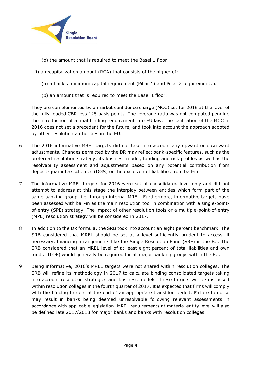

- (b) the amount that is required to meet the Basel 1 floor;
- ii) a recapitalization amount (RCA) that consists of the higher of:
	- (a) a bank's minimum capital requirement (Pillar 1) and Pillar 2 requirement; or
	- (b) an amount that is required to meet the Basel 1 floor.

They are complemented by a market confidence charge (MCC) set for 2016 at the level of the fully-loaded CBR less 125 basis points. The leverage ratio was not computed pending the introduction of a final binding requirement into EU law. The calibration of the MCC in 2016 does not set a precedent for the future, and took into account the approach adopted by other resolution authorities in the EU.

- 6 The 2016 informative MREL targets did not take into account any upward or downward adjustments. Changes permitted by the DR may reflect bank-specific features, such as the preferred resolution strategy, its business model, funding and risk profiles as well as the resolvability assessment and adjustments based on any potential contribution from deposit-guarantee schemes (DGS) or the exclusion of liabilities from bail-in.
- 7 The informative MREL targets for 2016 were set at consolidated level only and did not attempt to address at this stage the interplay between entities which form part of the same banking group, i.e. through internal MREL. Furthermore, informative targets have been assessed with bail-in as the main resolution tool in combination with a single-pointof-entry (SPE) strategy. The impact of other resolution tools or a multiple-point-of-entry (MPE) resolution strategy will be considered in 2017.
- 8 In addition to the DR formula, the SRB took into account an eight percent benchmark. The SRB considered that MREL should be set at a level sufficiently prudent to access, if necessary, financing arrangements like the Single Resolution Fund (SRF) in the BU. The SRB considered that an MREL level of at least eight percent of total liabilities and own funds (TLOF) would generally be required for all major banking groups within the BU.
- 9 Being informative, 2016's MREL targets were not shared within resolution colleges. The SRB will refine its methodology in 2017 to calculate binding consolidated targets taking into account resolution strategies and business models. These targets will be discussed within resolution colleges in the fourth quarter of 2017. It is expected that firms will comply with the binding targets at the end of an appropriate transition period. Failure to do so may result in banks being deemed unresolvable following relevant assessments in accordance with applicable legislation. MREL requirements at material entity level will also be defined late 2017/2018 for major banks and banks with resolution colleges.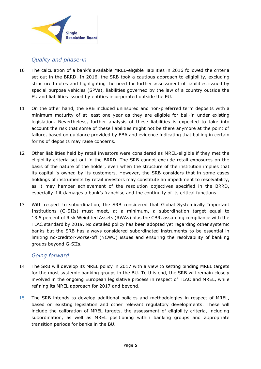

# *Quality and phase-in*

- 10 The calculation of a bank's available MREL-eligible liabilities in 2016 followed the criteria set out in the BRRD. In 2016, the SRB took a cautious approach to eligibility, excluding structured notes and highlighting the need for further assessment of liabilities issued by special purpose vehicles (SPVs), liabilities governed by the law of a country outside the EU and liabilities issued by entities incorporated outside the EU.
- 11 On the other hand, the SRB included uninsured and non-preferred term deposits with a minimum maturity of at least one year as they are eligible for bail-in under existing legislation. Nevertheless, further analysis of these liabilities is expected to take into account the risk that some of these liabilities might not be there anymore at the point of failure, based on guidance provided by EBA and evidence indicating that bailing in certain forms of deposits may raise concerns.
- 12 Other liabilities held by retail investors were considered as MREL-eligible if they met the eligibility criteria set out in the BRRD. The SRB cannot exclude retail exposures on the basis of the nature of the holder, even when the structure of the institution implies that its capital is owned by its customers. However, the SRB considers that in some cases holdings of instruments by retail investors may constitute an impediment to resolvability, as it may hamper achievement of the resolution objectives specified in the BRRD, especially if it damages a bank's franchise and the continuity of its critical functions.
- 13 With respect to subordination, the SRB considered that Global Systemically Important Institutions (G-SIIs) must meet, at a minimum, a subordination target equal to 13.5 percent of Risk Weighted Assets (RWAs) plus the CBR, assuming compliance with the TLAC standard by 2019. No detailed policy has been adopted yet regarding other systemic banks but the SRB has always considered subordinated instruments to be essential in limiting no-creditor-worse-off (NCWO) issues and ensuring the resolvability of banking groups beyond G-SIIs.

# *Going forward*

- 14 The SRB will develop its MREL policy in 2017 with a view to setting binding MREL targets for the most systemic banking groups in the BU. To this end, the SRB will remain closely involved in the ongoing European legislative process in respect of TLAC and MREL, while refining its MREL approach for 2017 and beyond.
- 15 The SRB intends to develop additional policies and methodologies in respect of MREL, based on existing legislation and other relevant regulatory developments. These will include the calibration of MREL targets, the assessment of eligibility criteria, including subordination, as well as MREL positioning within banking groups and appropriate transition periods for banks in the BU.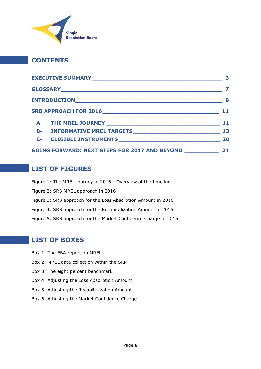

# **CONTENTS**

|  |                                                          | 3  |
|--|----------------------------------------------------------|----|
|  |                                                          |    |
|  |                                                          |    |
|  |                                                          | 11 |
|  |                                                          | 11 |
|  |                                                          | 13 |
|  |                                                          | 20 |
|  | GOING FORWARD: NEXT STEPS FOR 2017 AND BEYOND __________ | 24 |

# **LIST OF FIGURES**

Figure 1: The MREL journey in 2016 - Overview of the timeline Figure 2: SRB MREL approach in 2016 Figure 3: SRB approach for the Loss Absorption Amount in 2016 Figure 4: SRB approach for the Recapitalization Amount in 2016 Figure 5: SRB approach for the Market Confidence Charge in 2016

# **LIST OF BOXES**

- Box 1: The EBA report on MREL
- Box 2: MREL data collection within the SRM
- Box 3: The eight percent benchmark
- Box 4: Adjusting the Loss Absorption Amount
- Box 5: Adjusting the Recapitalization Amount
- Box 6: Adjusting the Market Confidence Charge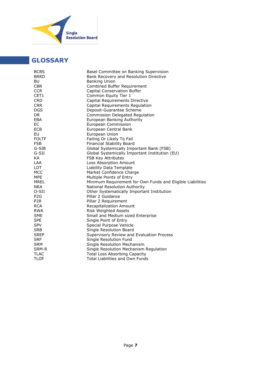

# <span id="page-6-0"></span>**GLOSSARY**

| Basel Committee on Banking Supervision                     |
|------------------------------------------------------------|
| Bank Recovery and Resolution Directive                     |
| <b>Banking Union</b>                                       |
| Combined Buffer Requirement                                |
| Capital Conservation Buffer                                |
| Common Equity Tier 1                                       |
| Capital Requirements Directive                             |
| Capital Requirements Regulation                            |
| Deposit-Guarantee Scheme                                   |
| Commission Delegated Regulation                            |
| European Banking Authority                                 |
| European Commission                                        |
| European Central Bank                                      |
| European Union                                             |
| Failing Or Likely To Fail                                  |
| <b>Financial Stability Board</b>                           |
| Global Systemically Important Bank (FSB)                   |
| Global Systemically Important Institution (EU)             |
| FSB Key Attributes                                         |
| Loss Absorption Amount                                     |
| Liability Data Template                                    |
| Market Confidence Charge                                   |
| Multiple Points of Entry                                   |
| Minimum Requirement for Own Funds and Eligible Liabilities |
| National Resolution Authority                              |
| Other Systematically Important Institution                 |
| Pillar 2 Guidance                                          |
| Pillar 2 Requirement                                       |
| Recapitalization Amount                                    |
| <b>Risk Weighted Assets</b>                                |
| Small and Medium sized Enterprise                          |
| Single Point of Entry                                      |
| Special Purpose Vehicle                                    |
| Single Resolution Board                                    |
| Supervisory Review and Evaluation Process                  |
| Single Resolution Fund                                     |
| Single Resolution Mechanism                                |
| Single Resolution Mechanism Regulation                     |
| <b>Total Loss Absorbing Capacity</b>                       |
| Total Liabilities and Own Funds                            |
|                                                            |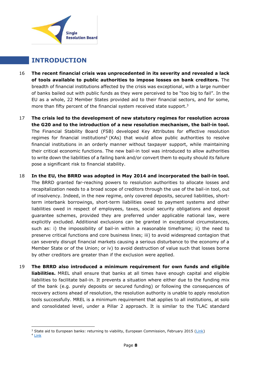

# <span id="page-7-0"></span>**INTRODUCTION**

- 16 **The recent financial crisis was unprecedented in its severity and revealed a lack of tools available to public authorities to impose losses on bank creditors.** The breadth of financial institutions affected by the crisis was exceptional, with a large number of banks bailed out with public funds as they were perceived to be "too big to fail". In the EU as a whole, 22 Member States provided aid to their financial sectors, and for some, more than fifty percent of the financial system received state support.<sup>3</sup>
- 17 **The crisis led to the development of new statutory regimes for resolution across the G20 and to the introduction of a new resolution mechanism, the bail-in tool.**  The Financial Stability Board (FSB) developed Key Attributes for effective resolution regimes for financial institutions<sup>4</sup> (KAs) that would allow public authorities to resolve financial institutions in an orderly manner without taxpayer support, while maintaining their critical economic functions. The new bail-in tool was introduced to allow authorities to write down the liabilities of a failing bank and/or convert them to equity should its failure pose a significant risk to financial stability.
- 18 **In the EU, the BRRD was adopted in May 2014 and incorporated the bail-in tool.**  The BRRD granted far-reaching powers to resolution authorities to allocate losses and recapitalization needs to a broad scope of creditors through the use of the bail-in tool, out of insolvency. Indeed, in the new regime, only covered deposits, secured liabilities, shortterm interbank borrowings, short-term liabilities owed to payment systems and other liabilities owed in respect of employees, taxes, social security obligations and deposit guarantee schemes, provided they are preferred under applicable national law, were explicitly excluded. Additional exclusions can be granted in exceptional circumstances, such as: i) the impossibility of bail-in within a reasonable timeframe; ii) the need to preserve critical functions and core business lines; iii) to avoid widespread contagion that can severely disrupt financial markets causing a serious disturbance to the economy of a Member State or of the Union; or iv) to avoid destruction of value such that losses borne by other creditors are greater than if the exclusion were applied.
- 19 **The BRRD also introduced a minimum requirement for own funds and eligible liabilities.** MREL shall ensure that banks at all times have enough capital and eligible liabilities to facilitate bail-in. It prevents a situation where either due to the funding mix of the bank (e.g. purely deposits or secured funding) or following the consequences of recovery actions ahead of resolution, the resolution authority is unable to apply resolution tools successfully. MREL is a minimum requirement that applies to all institutions, at solo and consolidated level, under a Pillar 2 approach. It is similar to the TLAC standard

 $\overline{a}$ 

<sup>&</sup>lt;sup>3</sup> State aid to European banks: returning to viability, European Commission, February 2015 [\(Link\)](http://ec.europa.eu/competition/publications/csb/csb2015_001_en.pdf)

 $4$  [Link](http://www.fsb.org/what-we-do/policy-development/effective-resolution-regimes-and-policies/key-attributes-of-effective-resolution-regimes-for-financial-institutions/)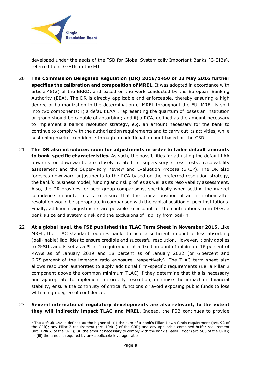

**.** 

developed under the aegis of the FSB for Global Systemically Important Banks (G-SIBs), referred to as G-SIIs in the EU.

- 20 **The Commission Delegated Regulation (DR) 2016/1450 of 23 May 2016 further specifies the calibration and composition of MREL.** It was adopted in accordance with article 45(2) of the BRRD, and based on the work conducted by the European Banking Authority (EBA). The DR is directly applicable and enforceable, thereby ensuring a high degree of harmonization in the determination of MREL throughout the EU. MREL is split into two components: i) a default LAA<sup>5</sup>, representing the quantum of losses an institution or group should be capable of absorbing; and ii) a RCA, defined as the amount necessary to implement a bank's resolution strategy, e.g. an amount necessary for the bank to continue to comply with the authorization requirements and to carry out its activities, while sustaining market confidence through an additional amount based on the CBR.
- 21 **The DR also introduces room for adjustments in order to tailor default amounts to bank-specific characteristics.** As such, the possibilities for adjusting the default LAA upwards or downwards are closely related to supervisory stress tests, resolvability assessment and the Supervisory Review and Evaluation Process (SREP). The DR also foresees downward adjustments to the RCA based on the preferred resolution strategy, the bank's business model, funding and risk profiles as well as its resolvability assessment. Also, the DR provides for peer group comparisons, specifically when setting the market confidence amount. This is to ensure that the capital position of an institution after resolution would be appropriate in comparison with the capital position of peer institutions. Finally, additional adjustments are possible to account for the contributions from DGS, a bank's size and systemic risk and the exclusions of liability from bail-in.
- 22 **At a global level, the FSB published the TLAC Term Sheet in November 2015.** Like MREL, the TLAC standard requires banks to hold a sufficient amount of loss absorbing (bail-inable) liabilities to ensure credible and successful resolution. However, it only applies to G-SIIs and is set as a Pillar 1 requirement at a fixed amount of minimum 16 percent of RWAs as of January 2019 and 18 percent as of January 2022 (or 6 percent and 6.75 percent of the leverage ratio exposure, respectively). The TLAC term sheet also allows resolution authorities to apply additional firm-specific requirements (i.e. a Pillar 2 component above the common minimum TLAC) if they determine that this is necessary and appropriate to implement an orderly resolution, minimise the impact on financial stability, ensure the continuity of critical functions or avoid exposing public funds to loss with a high degree of confidence.
- 23 **Several international regulatory developments are also relevant, to the extent they will indirectly impact TLAC and MREL.** Indeed, the FSB continues to provide

<sup>5</sup> The default LAA is defined as the higher of: (i) the sum of a bank's Pillar 1 own funds requirement (art. 92 of the CRR); any Pillar 2 requirement (art. 104(1) of the CRD) and any applicable combined buffer requirement (art. 128(6) of the CRD); (ii) the amount necessary to comply with the bank's Basel 1 floor (art. 500 of the CRR); or (iii) the amount required by any applicable leverage ratio.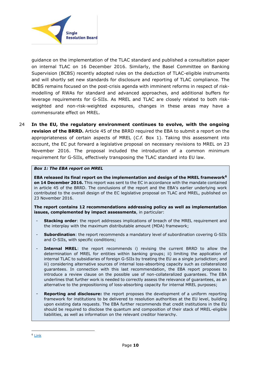

guidance on the implementation of the TLAC standard and published a consultation paper on internal TLAC on 16 December 2016. Similarly, the Basel Committee on Banking Supervision (BCBS) recently adopted rules on the deduction of TLAC-eligible instruments and will shortly set new standards for disclosure and reporting of TLAC compliance. The BCBS remains focused on the post-crisis agenda with imminent reforms in respect of riskmodelling of RWAs for standard and advanced approaches, and additional buffers for leverage requirements for G-SIIs. As MREL and TLAC are closely related to both riskweighted and non-risk-weighted exposures, changes in these areas may have a commensurate effect on MREL.

24 **In the EU, the regulatory environment continues to evolve, with the ongoing revision of the BRRD.** Article 45 of the BRRD required the EBA to submit a report on the appropriateness of certain aspects of MREL (*C.f.* Box 1). Taking this assessment into account, the EC put forward a legislative proposal on necessary revisions to MREL on 23 November 2016. The proposal included the introduction of a common minimum requirement for G-SIIs, effectively transposing the TLAC standard into EU law.

#### *Box 1: The EBA report on MREL*

**EBA released its final report on the implementation and design of the MREL framework<sup>6</sup> on 14 December 2016.** This report was sent to the EC in accordance with the mandate contained in article 45 of the BRRD. The conclusions of the report and the EBA's earlier underlying work contributed to the overall design of the EC legislative proposal on TLAC and MREL, published on 23 November 2016.

**The report contains 12 recommendations addressing policy as well as implementation issues, complemented by impact assessments**, in particular:

- **Stacking order**: the report addresses implications of breach of the MREL requirement and the interplay with the maximum distributable amount (MDA) framework;
- **Subordination**: the report recommends a mandatory level of subordination covering G-SIIs and O-SIIs, with specific conditions;
- Internal MREL: the report recommends i) revising the current BRRD to allow the determination of MREL for entities within banking groups; ii) limiting the application of internal TLAC to subsidiaries of foreign G-SIIs by treating the EU as a single jurisdiction; and iii) considering alternative sources of internal loss-absorbing capacity such as collateralized guarantees. In connection with this last recommendation, the EBA report proposes to introduce a review clause on the possible use of non-collateralized guarantees. The EBA underlines that further work is needed to correctly assess the relevance of guarantees, as an alternative to the prepositioning of loss-absorbing capacity for internal MREL purposes;
- **Reporting and disclosure:** the report proposes the development of a uniform reporting framework for institutions to be delivered to resolution authorities at the EU level, building upon existing data requests. The EBA further recommends that credit institutions in the EU should be required to disclose the quantum and composition of their stack of MREL-eligible liabilities, as well as information on the relevant creditor hierarchy.

 $\overline{a}$ 

<sup>6</sup> [Link](https://www.eba.europa.eu/documents/10180/1695288/EBA+Final+MREL+Report+(EBA-Op-2016-21).pdf)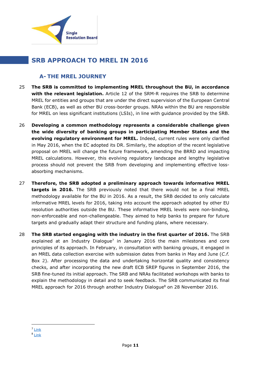

# <span id="page-10-0"></span>**SRB APPROACH TO MREL IN 2016**

# <span id="page-10-1"></span>**A- THE MREL JOURNEY**

- 25 **The SRB is committed to implementing MREL throughout the BU, in accordance with the relevant legislation.** Article 12 of the SRM-R requires the SRB to determine MREL for entities and groups that are under the direct supervision of the European Central Bank (ECB), as well as other BU cross-border groups. NRAs within the BU are responsible for MREL on less significant institutions (LSIs), in line with guidance provided by the SRB.
- 26 **Developing a common methodology represents a considerable challenge given the wide diversity of banking groups in participating Member States and the evolving regulatory environment for MREL.** Indeed, current rules were only clarified in May 2016, when the EC adopted its DR. Similarly, the adoption of the recent legislative proposal on MREL will change the future framework, amending the BRRD and impacting MREL calculations. However, this evolving regulatory landscape and lengthy legislative process should not prevent the SRB from developing and implementing effective lossabsorbing mechanisms.
- 27 **Therefore, the SRB adopted a preliminary approach towards informative MREL targets in 2016.** The SRB previously noted that there would not be a final MREL methodology available for the BU in 2016. As a result, the SRB decided to only calculate informative MREL levels for 2016, taking into account the approach adopted by other EU resolution authorities outside the BU. These informative MREL levels were non-binding, non-enforceable and non-challengeable. They aimed to help banks to prepare for future targets and gradually adapt their structure and funding plans, where necessary.
- 28 **The SRB started engaging with the industry in the first quarter of 2016.** The SRB explained at an Industry Dialogue<sup>7</sup> in January 2016 the main milestones and core principles of its approach. In February, in consultation with banking groups, it engaged in an MREL data collection exercise with submission dates from banks in May and June (*C.f.* Box 2). After processing the data and undertaking horizontal quality and consistency checks, and after incorporating the new draft ECB SREP figures in September 2016, the SRB fine-tuned its initial approach. The SRB and NRAs facilitated workshops with banks to explain the methodology in detail and to seek feedback. The SRB communicated its final MREL approach for 2016 through another Industry Dialogue<sup>8</sup> on 28 November 2016.

<sup>1</sup> <sup>7</sup> [Link](https://srb.europa.eu/en/node/45)

<sup>&</sup>lt;sup>8</sup> [Link](https://srb.europa.eu/en/node/176)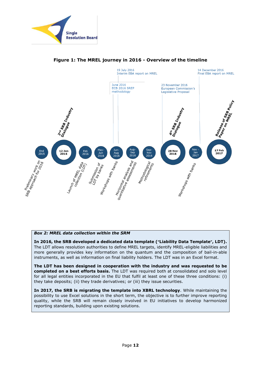



#### **Figure 1: The MREL journey in 2016 - Overview of the timeline**

#### *Box 2: MREL data collection within the SRM*

**In 2016, the SRB developed a dedicated data template ("Liability Data Template", LDT).** The LDT allows resolution authorities to define MREL targets, identify MREL-eligible liabilities and more generally provides key information on the quantum and the composition of bail-in-able instruments, as well as information on final liability holders. The LDT was in an Excel format.

**The LDT has been designed in cooperation with the industry and was requested to be completed on a best efforts basis.** The LDT was required both at consolidated and solo level for all legal entities incorporated in the EU that fulfil at least one of these three conditions: (i) they take deposits; (ii) they trade derivatives; or (iii) they issue securities.

**In 2017, the SRB is migrating the template into XBRL technology**. While maintaining the possibility to use Excel solutions in the short term, the objective is to further improve reporting quality, while the SRB will remain closely involved in EU initiatives to develop harmonized reporting standards, building upon existing solutions.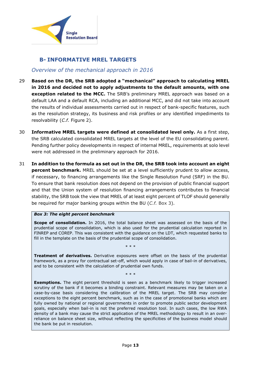

# <span id="page-12-0"></span>**B- INFORMATIVE MREL TARGETS**

# *Overview of the mechanical approach in 2016*

- 29 **Based on the DR, the SRB adopted a "mechanical" approach to calculating MREL in 2016 and decided not to apply adjustments to the default amounts, with one exception related to the MCC.** The SRB's preliminary MREL approach was based on a default LAA and a default RCA, including an additional MCC, and did not take into account the results of individual assessments carried out in respect of bank-specific features, such as the resolution strategy, its business and risk profiles or any identified impediments to resolvability (*C.f.* Figure 2).
- 30 **Informative MREL targets were defined at consolidated level only.** As a first step, the SRB calculated consolidated MREL targets at the level of the EU consolidating parent. Pending further policy developments in respect of internal MREL, requirements at solo level were not addressed in the preliminary approach for 2016.
- 31 **In addition to the formula as set out in the DR, the SRB took into account an eight percent benchmark.** MREL should be set at a level sufficiently prudent to allow access, if necessary, to financing arrangements like the Single Resolution Fund (SRF) in the BU. To ensure that bank resolution does not depend on the provision of public financial support and that the Union system of resolution financing arrangements contributes to financial stability, the SRB took the view that MREL of at least eight percent of TLOF should generally be required for major banking groups within the BU (*C.f.* Box 3).

#### *Box 3: The eight percent benchmark*

**Scope of consolidation.** In 2016, the total balance sheet was assessed on the basis of the prudential scope of consolidation, which is also used for the prudential calculation reported in FINREP and COREP. This was consistent with the guidance on the LDT, which requested banks to fill in the template on the basis of the prudential scope of consolidation.

**Treatment of derivatives.** Derivative exposures were offset on the basis of the prudential framework, as a proxy for contractual set-off, which would apply in case of bail-in of derivatives, and to be consistent with the calculation of prudential own funds.

\* \* \*

\* \* \*

**Exemptions.** The eight percent threshold is seen as a benchmark likely to trigger increased scrutiny of the bank if it becomes a binding constraint. Relevant measures may be taken on a case-by-case basis considering the calibration of the MREL target. The SRB may consider exceptions to the eight percent benchmark, such as in the case of promotional banks which are fully owned by national or regional governments in order to promote public sector development goals, especially when bail-in is not the preferred resolution tool. In such cases, the low RWA density of a bank may cause the strict application of the MREL methodology to result in an overreliance on balance sheet size, without reflecting the specificities of the business model should the bank be put in resolution.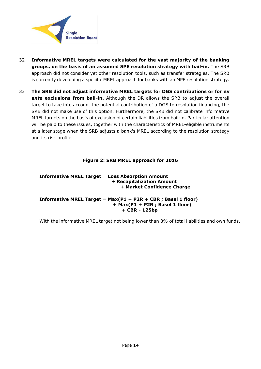

- 32 **Informative MREL targets were calculated for the vast majority of the banking groups, on the basis of an assumed SPE resolution strategy with bail-in.** The SRB approach did not consider yet other resolution tools, such as transfer strategies. The SRB is currently developing a specific MREL approach for banks with an MPE resolution strategy.
- 33 **The SRB did not adjust informative MREL targets for DGS contributions or for** *ex ante* **exclusions from bail-in.** Although the DR allows the SRB to adjust the overall target to take into account the potential contribution of a DGS to resolution financing, the SRB did not make use of this option. Furthermore, the SRB did not calibrate informative MREL targets on the basis of exclusion of certain liabilities from bail-in. Particular attention will be paid to these issues, together with the characteristics of MREL-eligible instruments at a later stage when the SRB adjusts a bank's MREL according to the resolution strategy and its risk profile.

#### **Figure 2: SRB MREL approach for 2016**

#### **Informative MREL Target** = **Loss Absorption Amount + Recapitalization Amount + Market Confidence Charge**

#### **Informative MREL Target** = **Max(P1 + P2R + CBR ; Basel 1 floor) + Max(P1 + P2R ; Basel 1 floor) + CBR - 125bp**

With the informative MREL target not being lower than 8% of total liabilities and own funds.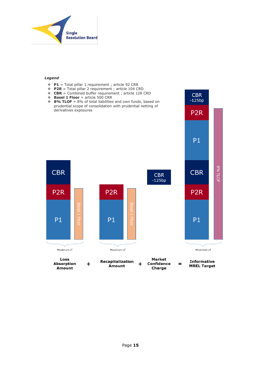

#### *Legend*

- **P1** = Total pillar 1 requirement ; article 92 CRR
- **P2R** = Total pillar 2 requirement ; article 104 CRD
- **CBR** = Combined buffer requirement ; article 128 CRD

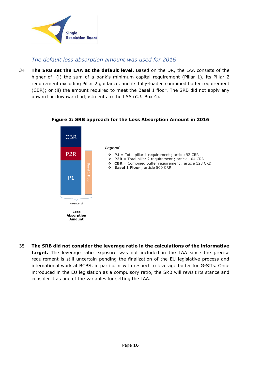

# *The default loss absorption amount was used for 2016*

34 **The SRB set the LAA at the default level.** Based on the DR, the LAA consists of the higher of: (i) the sum of a bank's minimum capital requirement (Pillar 1), its Pillar 2 requirement excluding Pillar 2 guidance, and its fully-loaded combined buffer requirement (CBR); or (ii) the amount required to meet the Basel 1 floor. The SRB did not apply any upward or downward adjustments to the LAA (*C.f.* Box 4).



## **Figure 3: SRB approach for the Loss Absorption Amount in 2016**

35 **The SRB did not consider the leverage ratio in the calculations of the informative target.** The leverage ratio exposure was not included in the LAA since the precise requirement is still uncertain pending the finalization of the EU legislative process and international work at BCBS, in particular with respect to leverage buffer for G-SIIs. Once introduced in the EU legislation as a compulsory ratio, the SRB will revisit its stance and consider it as one of the variables for setting the LAA.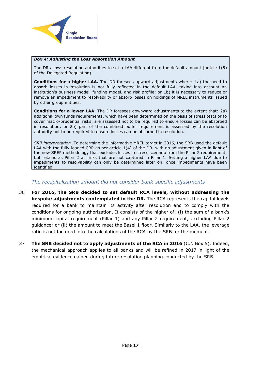

#### *Box 4: Adjusting the Loss Absorption Amount*

The DR allows resolution authorities to set a LAA different from the default amount (article 1(5) of the Delegated Regulation).

**Conditions for a higher LAA.** The DR foresees upward adjustments where: 1a) the need to absorb losses in resolution is not fully reflected in the default LAA, taking into account an institution's business model, funding model, and risk profile; or 1b) it is necessary to reduce or remove an impediment to resolvability or absorb losses on holdings of MREL instruments issued by other group entities.

**Conditions for a lower LAA.** The DR foresees downward adjustments to the extent that: 2a) additional own funds requirements, which have been determined on the basis of stress tests or to cover macro-prudential risks, are assessed not to be required to ensure losses can be absorbed in resolution; or 2b) part of the combined buffer requirement is assessed by the resolution authority not to be required to ensure losses can be absorbed in resolution.

*SRB interpretation.* To determine the informative MREL target in 2016, the SRB used the default LAA with the fully-loaded CBR as per article 1(4) of the DR, with no adjustment given in light of the new SREP methodology that excludes losses in stress scenario from the Pillar 2 requirement, but retains as Pillar 2 all risks that are not captured in Pillar 1. Setting a higher LAA due to impediments to resolvability can only be determined later on, once impediments have been identified.

#### *The recapitalization amount did not consider bank-specific adjustments*

- 36 **For 2016, the SRB decided to set default RCA levels, without addressing the bespoke adjustments contemplated in the DR.** The RCA represents the capital levels required for a bank to maintain its activity after resolution and to comply with the conditions for ongoing authorization. It consists of the higher of: (i) the sum of a bank's minimum capital requirement (Pillar 1) and any Pillar 2 requirement, excluding Pillar 2 guidance; or (ii) the amount to meet the Basel 1 floor. Similarly to the LAA, the leverage ratio is not factored into the calculations of the RCA by the SRB for the moment.
- 37 **The SRB decided not to apply adjustments of the RCA in 2016** (*C.f.* Box 5). Indeed, the mechanical approach applies to all banks and will be refined in 2017 in light of the empirical evidence gained during future resolution planning conducted by the SRB.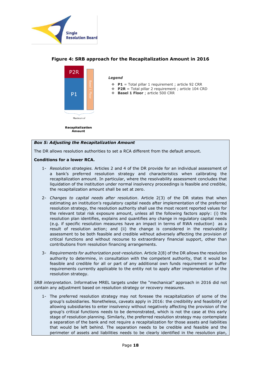



## **Figure 4: SRB approach for the Recapitalization Amount in 2016**

#### *Box 5: Adjusting the Recapitalization Amount*

The DR allows resolution authorities to set a RCA different from the default amount.

#### **Conditions for a lower RCA.**

- 1- *Resolution strategies.* Articles 2 and 4 of the DR provide for an individual assessment of a bank's preferred resolution strategy and characteristics when calibrating the recapitalization amount. In particular, where the resolvability assessment concludes that liquidation of the institution under normal insolvency proceedings is feasible and credible, the recapitalization amount shall be set at zero.
- 2- *Changes to capital needs after resolution*. Article 2(3) of the DR states that when estimating an institution's regulatory capital needs after implementation of the preferred resolution strategy, the resolution authority shall use the most recent reported values for the relevant total risk exposure amount, unless all the following factors apply: (i) the resolution plan identifies, explains and quantifies any change in regulatory capital needs (e.g. if specific resolution measures have an impact in terms of RWA reduction) as a result of resolution action; and (ii) the change is considered in the resolvability assessment to be both feasible and credible without adversely affecting the provision of critical functions and without recourse to extraordinary financial support, other than contributions from resolution financing arrangements.
- 3- *Requirements for authorization post-resolution.* Article 2(8) of the DR allows the resolution authority to determine, in consultation with the competent authority, that it would be feasible and credible for all or part of any additional own funds requirement or buffer requirements currently applicable to the entity not to apply after implementation of the resolution strategy.

*SRB interpretation*. Informative MREL targets under the "mechanical" approach in 2016 did not contain any adjustment based on resolution strategy or recovery measures.

1- The preferred resolution strategy may not foresee the recapitalization of some of the group's subsidiaries. Nonetheless, caveats apply in 2016: the credibility and feasibility of allowing subsidiaries to enter insolvency without negatively affecting the provision of the group's critical functions needs to be demonstrated, which is not the case at this early stage of resolution planning. Similarly, the preferred resolution strategy may contemplate a separation of the bank and not require a recapitalization for those assets and liabilities that would be left behind. The separation needs to be credible and feasible and the perimeter of assets and liabilities needs to be clearly identified in the resolution plan,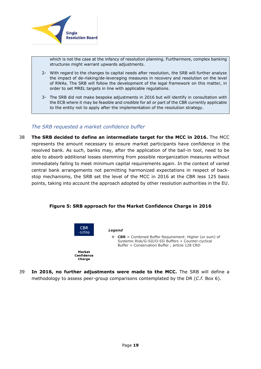

which is not the case at the infancy of resolution planning. Furthermore, complex banking structures might warrant upwards adjustments.

- 2- With regard to the changes to capital needs after resolution, the SRB will further analyse the impact of de-risking/de-leveraging measures in recovery and resolution on the level of RWAs. The SRB will follow the development of the legal framework on this matter, in order to set MREL targets in line with applicable regulations.
- 3- The SRB did not make bespoke adjustments in 2016 but will identify in consultation with the ECB where it may be feasible and credible for all or part of the CBR currently applicable to the entity not to apply after the implementation of the resolution strategy.

## *The SRB requested a market confidence buffer*

38 **The SRB decided to define an intermediate target for the MCC in 2016.** The MCC represents the amount necessary to ensure market participants have confidence in the resolved bank. As such, banks may, after the application of the bail-in tool, need to be able to absorb additional losses stemming from possible reorganization measures without immediately failing to meet minimum capital requirements again. In the context of varied central bank arrangements not permitting harmonized expectations in respect of backstop mechanisms, the SRB set the level of the MCC in 2016 at the CBR less 125 basis points, taking into account the approach adopted by other resolution authorities in the EU.

#### **Figure 5: SRB approach for the Market Confidence Charge in 2016**





*Legend*

 **CBR** = Combined Buffer Requirement: Higher (or sum) of Systemic Risk/G-SII/O-SII Buffers + Counter-cyclical Buffer + Conservation Buffer ; article 128 CRD

39 **In 2016, no further adjustments were made to the MCC.** The SRB will define a methodology to assess peer-group comparisons contemplated by the DR (*C.f.* Box 6).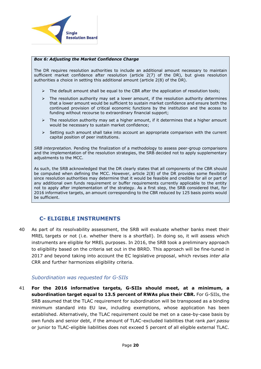

#### *Box 6: Adjusting the Market Confidence Charge*

The DR requires resolution authorities to include an additional amount necessary to maintain sufficient market confidence after resolution (article 2(7) of the DR), but gives resolution authorities a choice in setting this additional amount (article 2(8) of the DR).

- $\triangleright$  The default amount shall be equal to the CBR after the application of resolution tools;
- $\triangleright$  The resolution authority may set a lower amount, if the resolution authority determines that a lower amount would be sufficient to sustain market confidence and ensure both the continued provision of critical economic functions by the institution and the access to funding without recourse to extraordinary financial support;
- $\triangleright$  The resolution authority may set a higher amount, if it determines that a higher amount would be necessary to sustain market confidence;
- $\triangleright$  Setting such amount shall take into account an appropriate comparison with the current capital position of peer institutions.

*SRB interpretation.* Pending the finalization of a methodology to assess peer-group comparisons and the implementation of the resolution strategies, the SRB decided not to apply supplementary adjustments to the MCC.

As such, the SRB acknowledged that the DR clearly states that all components of the CBR should be computed when defining the MCC. However, article 2(8) of the DR provides some flexibility since resolution authorities may determine that it would be feasible and credible for all or part of any additional own funds requirement or buffer requirements currently applicable to the entity not to apply after implementation of the strategy. As a first step, the SRB considered that, for 2016 informative targets, an amount corresponding to the CBR reduced by 125 basis points would be sufficient.

## <span id="page-19-0"></span>**C- ELIGIBLE INSTRUMENTS**

40 As part of its resolvability assessment, the SRB will evaluate whether banks meet their MREL targets or not (i.e. whether there is a shortfall). In doing so, it will assess which instruments are eligible for MREL purposes. In 2016, the SRB took a preliminary approach to eligibility based on the criteria set out in the BRRD. This approach will be fine-tuned in 2017 and beyond taking into account the EC legislative proposal, which revises *inter alia* CRR and further harmonizes eligibility criteria.

#### *Subordination was requested for G-SIIs*

41 **For the 2016 informative targets, G-SIIs should meet, at a minimum, a subordination target equal to 13.5 percent of RWAs plus their CBR.** For G-SIIs, the SRB assumed that the TLAC requirement for subordination will be transposed as a binding minimum standard into EU law, including exemptions, whose application has been established. Alternatively, the TLAC requirement could be met on a case-by-case basis by own funds and senior debt, if the amount of TLAC-excluded liabilities that rank *pari passu*  or junior to TLAC-eligible liabilities does not exceed 5 percent of all eligible external TLAC.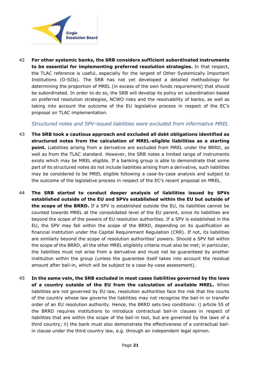

42 **For other systemic banks, the SRB considers sufficient subordinated instruments to be essential for implementing preferred resolution strategies.** In that respect, the TLAC reference is useful, especially for the largest of Other Systemically Important Institutions (O-SIIs). The SRB has not yet developed a detailed methodology for determining the proportion of MREL (in excess of the own funds requirement) that should be subordinated. In order to do so, the SRB will develop its policy on subordination based on preferred resolution strategies, NCWO risks and the resolvability of banks, as well as taking into account the outcome of the EU legislative process in respect of the EC's proposal on TLAC implementation.

#### *Structured notes and SPV-issued liabilities were excluded from informative MREL*

- 43 **The SRB took a cautious approach and excluded all debt obligations identified as structured notes from the calculation of MREL-eligible liabilities as a starting point.** Liabilities arising from a derivative are excluded from MREL under the BRRD, as well as from the TLAC standard. However, the SRB notes a limited range of instruments exists which may be MREL eligible. If a banking group is able to demonstrate that some part of its structured notes do not include liabilities arising from a derivative, such liabilities may be considered to be MREL eligible following a case-by-case analysis and subject to the outcome of the legislative process in respect of the EC's recent proposal on MREL.
- 44 **The SRB started to conduct deeper analysis of liabilities issued by SPVs established outside of the EU and SPVs established within the EU but outside of the scope of the BRRD.** If a SPV is established outside the EU, its liabilities cannot be counted towards MREL at the consolidated level of the EU parent, since its liabilities are beyond the scope of the powers of EU resolution authorities. If a SPV is established in the EU, the SPV may fall within the scope of the BRRD, depending on its qualification as financial institution under the Capital Requirement Regulation (CRR). If not, its liabilities are similarly beyond the scope of resolution authorities' powers. Should a SPV fall within the scope of the BRRD, all the other MREL eligibility criteria must also be met; in particular, the liabilities must not arise from a derivative and must not be guaranteed by another institution within the group (unless the guarantee itself takes into account the residual amount after bail-in, which will be subject to a case-by-case assessment).
- 45 **In the same vein, the SRB excluded in most cases liabilities governed by the laws of a country outside of the EU from the calculation of available MREL.** When liabilities are not governed by EU law, resolution authorities face the risk that the courts of the country whose law governs the liabilities may not recognise the bail-in or transfer order of an EU resolution authority. Hence, the BRRD sets two conditions: i) article 55 of the BRRD requires institutions to introduce contractual bail-in clauses in respect of liabilities that are within the scope of the bail-in tool, but are governed by the laws of a third country; ii) the bank must also demonstrate the effectiveness of a contractual bailin clause under the third country law, e.g. through an independent legal opinion.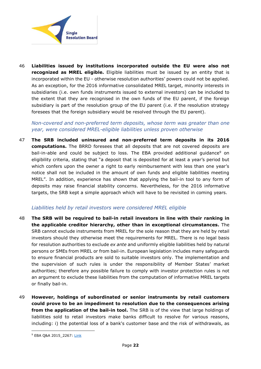

46 **Liabilities issued by institutions incorporated outside the EU were also not recognized as MREL eligible.** Eligible liabilities must be issued by an entity that is incorporated within the EU - otherwise resolution authorities' powers could not be applied. As an exception, for the 2016 informative consolidated MREL target, minority interests in subsidiaries (i.e. own funds instruments issued to external investors) can be included to the extent that they are recognised in the own funds of the EU parent, if the foreign subsidiary is part of the resolution group of the EU parent (i.e. if the resolution strategy foresees that the foreign subsidiary would be resolved through the EU parent).

## *Non-covered and non-preferred term deposits, whose term was greater than one year, were considered MREL-eligible liabilities unless proven otherwise*

47 **The SRB included uninsured and non-preferred term deposits in its 2016 computations.** The BRRD foresees that all deposits that are not covered deposits are bail-in-able and could be subject to loss. The EBA provided additional guidance<sup>9</sup> on eligibility criteria, stating that "a deposit that is deposited for at least a year's period but which confers upon the owner a right to early reimbursement with less than one year's notice shall not be included in the amount of own funds and eligible liabilities meeting MREL". In addition, experience has shown that applying the bail-in tool to any form of deposits may raise financial stability concerns. Nevertheless, for the 2016 informative targets, the SRB kept a simple approach which will have to be revisited in coming years.

## *Liabilities held by retail investors were considered MREL eligible*

- 48 **The SRB will be required to bail-in retail investors in line with their ranking in the applicable creditor hierarchy, other than in exceptional circumstances.** The SRB cannot exclude instruments from MREL for the sole reason that they are held by retail investors should they otherwise meet the requirements for MREL. There is no legal basis for resolution authorities to exclude *ex ante* and uniformly eligible liabilities held by natural persons or SMEs from MREL or from bail-in. European legislation includes many safeguards to ensure financial products are sold to suitable investors only. The implementation and the supervision of such rules is under the responsibility of Member States' market authorities; therefore any possible failure to comply with investor protection rules is not an argument to exclude these liabilities from the computation of informative MREL targets or finally bail-in.
- 49 **However, holdings of subordinated or senior instruments by retail customers could prove to be an impediment to resolution due to the consequences arising from the application of the bail-in tool.** The SRB is of the view that large holdings of liabilities sold to retail investors make banks difficult to resolve for various reasons, including: i) the potential loss of a bank's customer base and the risk of withdrawals, as

 $\overline{a}$ 

<sup>&</sup>lt;sup>9</sup> EBA Q&A 2015\_2267: [Link](https://www.eba.europa.eu/single-rule-book-qa/-/qna/view/publicId/2015_2267)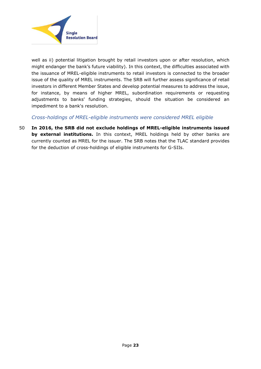

well as ii) potential litigation brought by retail investors upon or after resolution, which might endanger the bank's future viability). In this context, the difficulties associated with the issuance of MREL-eligible instruments to retail investors is connected to the broader issue of the quality of MREL instruments. The SRB will further assess significance of retail investors in different Member States and develop potential measures to address the issue, for instance, by means of higher MREL, subordination requirements or requesting adjustments to banks' funding strategies, should the situation be considered an impediment to a bank's resolution.

*Cross-holdings of MREL-eligible instruments were considered MREL eligible*

50 **In 2016, the SRB did not exclude holdings of MREL-eligible instruments issued by external institutions.** In this context, MREL holdings held by other banks are currently counted as MREL for the issuer. The SRB notes that the TLAC standard provides for the deduction of cross-holdings of eligible instruments for G-SIIs.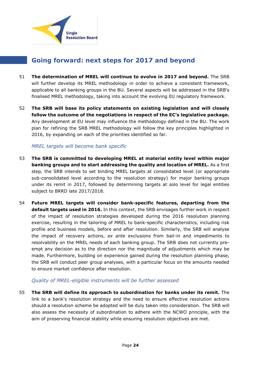

# <span id="page-23-0"></span>**Going forward: next steps for 2017 and beyond**

- 51 **The determination of MREL will continue to evolve in 2017 and beyond.** The SRB will further develop its MREL methodology in order to achieve a consistent framework, applicable to all banking groups in the BU. Several aspects will be addressed in the SRB's finalised MREL methodology, taking into account the evolving EU regulatory framework.
- 52 **The SRB will base its policy statements on existing legislation and will closely follow the outcome of the negotiations in respect of the EC's legislative package.** Any development at EU level may influence the methodology defined in the BU. The work plan for refining the SRB MREL methodology will follow the key principles highlighted in 2016, by expanding on each of the priorities identified so far.

## *MREL targets will become bank specific*

- 53 **The SRB is committed to developing MREL at material entity level within major banking groups and to start addressing the quality and location of MREL.** As a first step, the SRB intends to set binding MREL targets at consolidated level (or appropriate sub-consolidated level according to the resolution strategy) for major banking groups under its remit in 2017, followed by determining targets at solo level for legal entities subject to BRRD late 2017/2018.
- 54 **Future MREL targets will consider bank-specific features, departing from the default targets used in 2016.** In this context, the SRB envisages further work in respect of the impact of resolution strategies developed during the 2016 resolution planning exercise, resulting in the tailoring of MREL to bank-specific characteristics, including risk profile and business models, before and after resolution. Similarly, the SRB will analyse the impact of recovery actions, *ex ante* exclusions from bail-in and impediments to resolvability on the MREL needs of each banking group. The SRB does not currently preempt any decision as to the direction nor the magnitude of adjustments which may be made. Furthermore, building on experience gained during the resolution planning phase, the SRB will conduct peer group analyses, with a particular focus on the amounts needed to ensure market confidence after resolution.

## *Quality of MREL-eligible instruments will be further assessed*

55 **The SRB will define its approach to subordination for banks under its remit.** The link to a bank's resolution strategy and the need to ensure effective resolution actions should a resolution scheme be adopted will be duly taken into consideration. The SRB will also assess the necessity of subordination to adhere with the NCWO principle, with the aim of preserving financial stability while ensuring resolution objectives are met.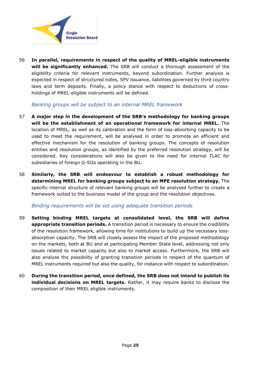

56 **In parallel, requirements in respect of the quality of MREL-eligible instruments will be significantly enhanced.** The SRB will conduct a thorough assessment of the eligibility criteria for relevant instruments, beyond subordination. Further analysis is expected in respect of structured notes, SPV issuance, liabilities governed by third country laws and term deposits. Finally, a policy stance with respect to deductions of crossholdings of MREL-eligible instruments will be defined.

## *Banking groups will be subject to an internal MREL framework*

- 57 **A major step in the development of the SRB's methodology for banking groups will be the establishment of an operational framework for internal MREL.** The location of MREL, as well as its calibration and the form of loss-absorbing capacity to be used to meet the requirement, will be analysed in order to promote an efficient and effective mechanism for the resolution of banking groups. The concepts of resolution entities and resolution groups, as identified by the preferred resolution strategy, will be considered. Key considerations will also be given to the need for internal TLAC for subsidiaries of foreign G-SIIs operating in the BU.
- 58 **Similarly, the SRB will endeavour to establish a robust methodology for determining MREL for banking groups subject to an MPE resolution strategy.** The specific internal structure of relevant banking groups will be analysed further to create a framework suited to the business model of the group and the resolution objectives.

#### *Binding requirements will be set using adequate transition periods*

- 59 **Setting binding MREL targets at consolidated level, the SRB will define appropriate transition periods.** A transition period is necessary to ensure the credibility of the resolution framework, allowing time for institutions to build up the necessary lossabsorption capacity. The SRB will closely assess the impact of the proposed methodology on the markets, both at BU and at participating Member State level, addressing not only issues related to market capacity but also to market access. Furthermore, the SRB will also analyse the possibility of granting transition periods in respect of the quantum of MREL instruments required but also the quality, for instance with respect to subordination.
- 60 **During the transition period, once defined, the SRB does not intend to publish its individual decisions on MREL targets.** Rather, it may require banks to disclose the composition of their MREL eligible instruments.